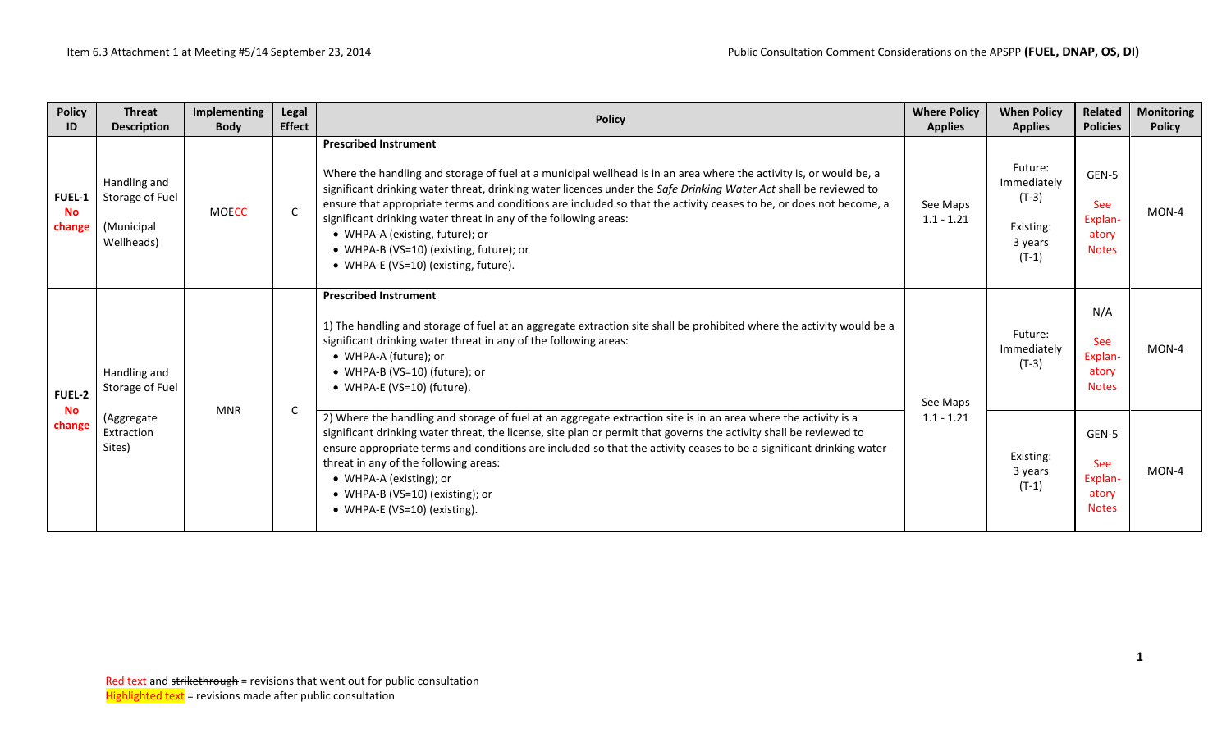| <b>Policy</b><br>ID                  | <b>Threat</b><br><b>Description</b>                         | Implementing<br><b>Body</b> | Legal<br><b>Effect</b> | <b>Policy</b>                                                                                                                                                                                                                                                                                                                                                                                                                                                                                                                                                                           | <b>Where Policy</b><br><b>Applies</b> | <b>When Policy</b><br><b>Applies</b>                                 | <b>Related</b><br><b>Policies</b>                       | <b>Monitoring</b><br><b>Policy</b> |
|--------------------------------------|-------------------------------------------------------------|-----------------------------|------------------------|-----------------------------------------------------------------------------------------------------------------------------------------------------------------------------------------------------------------------------------------------------------------------------------------------------------------------------------------------------------------------------------------------------------------------------------------------------------------------------------------------------------------------------------------------------------------------------------------|---------------------------------------|----------------------------------------------------------------------|---------------------------------------------------------|------------------------------------|
| <b>FUEL-1</b><br><b>No</b><br>change | Handling and<br>Storage of Fuel<br>(Municipal<br>Wellheads) | <b>MOECC</b>                | $\mathsf{C}$           | <b>Prescribed Instrument</b><br>Where the handling and storage of fuel at a municipal wellhead is in an area where the activity is, or would be, a<br>significant drinking water threat, drinking water licences under the Safe Drinking Water Act shall be reviewed to<br>ensure that appropriate terms and conditions are included so that the activity ceases to be, or does not become, a<br>significant drinking water threat in any of the following areas:<br>• WHPA-A (existing, future); or<br>• WHPA-B (VS=10) (existing, future); or<br>• WHPA-E (VS=10) (existing, future). | See Maps<br>$1.1 - 1.21$              | Future:<br>Immediately<br>$(T-3)$<br>Existing:<br>3 years<br>$(T-1)$ | GEN-5<br><b>See</b><br>Explan-<br>atory<br><b>Notes</b> | MON-4                              |
| FUEL-2                               | Handling and<br>Storage of Fuel                             |                             |                        | <b>Prescribed Instrument</b><br>1) The handling and storage of fuel at an aggregate extraction site shall be prohibited where the activity would be a<br>significant drinking water threat in any of the following areas:<br>• WHPA-A (future); or<br>• WHPA-B (VS=10) (future); or<br>• WHPA-E (VS=10) (future).                                                                                                                                                                                                                                                                       | See Maps                              | Future:<br>Immediately<br>$(T-3)$                                    | N/A<br>See<br>Explan-<br>atory<br><b>Notes</b>          | MON-4                              |
| <b>No</b><br>change                  | (Aggregate<br>Extraction<br>Sites)                          | <b>MNR</b>                  | C.                     | 2) Where the handling and storage of fuel at an aggregate extraction site is in an area where the activity is a<br>significant drinking water threat, the license, site plan or permit that governs the activity shall be reviewed to<br>ensure appropriate terms and conditions are included so that the activity ceases to be a significant drinking water<br>threat in any of the following areas:<br>• WHPA-A (existing); or<br>• WHPA-B (VS=10) (existing); or<br>• WHPA-E (VS=10) (existing).                                                                                     | $1.1 - 1.21$                          | Existing:<br>3 years<br>$(T-1)$                                      | GEN-5<br><b>See</b><br>Explan-<br>atory<br><b>Notes</b> | MON-4                              |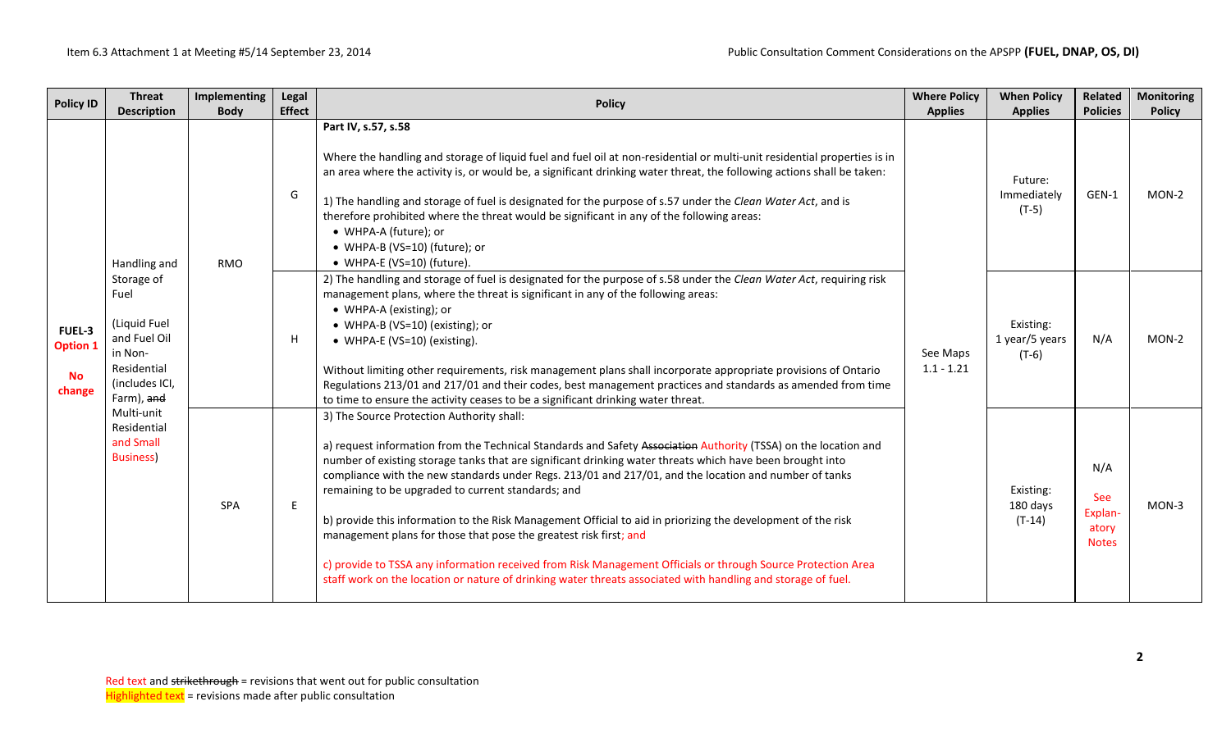| <b>Policy ID</b>                                 | <b>Threat</b>                                                                                                | Implementing | Legal         | <b>Where Policy</b><br><b>Policy</b>                                                                                                                                                                                                                                                                                                                                                                                                                                                                                                                                                                                                                                                                                                                                                                                                                          |                          | <b>When Policy</b>                     | Related                                        | <b>Monitoring</b> |
|--------------------------------------------------|--------------------------------------------------------------------------------------------------------------|--------------|---------------|---------------------------------------------------------------------------------------------------------------------------------------------------------------------------------------------------------------------------------------------------------------------------------------------------------------------------------------------------------------------------------------------------------------------------------------------------------------------------------------------------------------------------------------------------------------------------------------------------------------------------------------------------------------------------------------------------------------------------------------------------------------------------------------------------------------------------------------------------------------|--------------------------|----------------------------------------|------------------------------------------------|-------------------|
|                                                  | <b>Description</b>                                                                                           | <b>Body</b>  | <b>Effect</b> |                                                                                                                                                                                                                                                                                                                                                                                                                                                                                                                                                                                                                                                                                                                                                                                                                                                               | <b>Applies</b>           | <b>Applies</b>                         | <b>Policies</b>                                | <b>Policy</b>     |
|                                                  | Handling and                                                                                                 | <b>RMO</b>   | G             | Part IV, s.57, s.58<br>Where the handling and storage of liquid fuel and fuel oil at non-residential or multi-unit residential properties is in<br>an area where the activity is, or would be, a significant drinking water threat, the following actions shall be taken:<br>1) The handling and storage of fuel is designated for the purpose of s.57 under the Clean Water Act, and is<br>therefore prohibited where the threat would be significant in any of the following areas:<br>• WHPA-A (future); or<br>• WHPA-B (VS=10) (future); or<br>• WHPA-E (VS=10) (future).                                                                                                                                                                                                                                                                                 |                          | Future:<br>Immediately<br>$(T-5)$      | GEN-1                                          | MON-2             |
| FUEL-3<br><b>Option 1</b><br><b>No</b><br>change | Storage of<br>Fuel<br>(Liquid Fuel<br>and Fuel Oil<br>in Non-<br>Residential<br>(includes ICI,<br>Farm), and |              | H             | 2) The handling and storage of fuel is designated for the purpose of s.58 under the Clean Water Act, requiring risk<br>management plans, where the threat is significant in any of the following areas:<br>• WHPA-A (existing); or<br>• WHPA-B (VS=10) (existing); or<br>• WHPA-E (VS=10) (existing).<br>Without limiting other requirements, risk management plans shall incorporate appropriate provisions of Ontario<br>Regulations 213/01 and 217/01 and their codes, best management practices and standards as amended from time<br>to time to ensure the activity ceases to be a significant drinking water threat.                                                                                                                                                                                                                                    | See Maps<br>$1.1 - 1.21$ | Existing:<br>1 year/5 years<br>$(T-6)$ | N/A                                            | $MON-2$           |
|                                                  | Multi-unit<br>Residential<br>and Small<br><b>Business)</b>                                                   | SPA          | E.            | 3) The Source Protection Authority shall:<br>a) request information from the Technical Standards and Safety Association Authority (TSSA) on the location and<br>number of existing storage tanks that are significant drinking water threats which have been brought into<br>compliance with the new standards under Regs. 213/01 and 217/01, and the location and number of tanks<br>remaining to be upgraded to current standards; and<br>b) provide this information to the Risk Management Official to aid in priorizing the development of the risk<br>management plans for those that pose the greatest risk first; and<br>c) provide to TSSA any information received from Risk Management Officials or through Source Protection Area<br>staff work on the location or nature of drinking water threats associated with handling and storage of fuel. |                          | Existing:<br>180 days<br>$(T-14)$      | N/A<br>See<br>Explan-<br>atory<br><b>Notes</b> | MON-3             |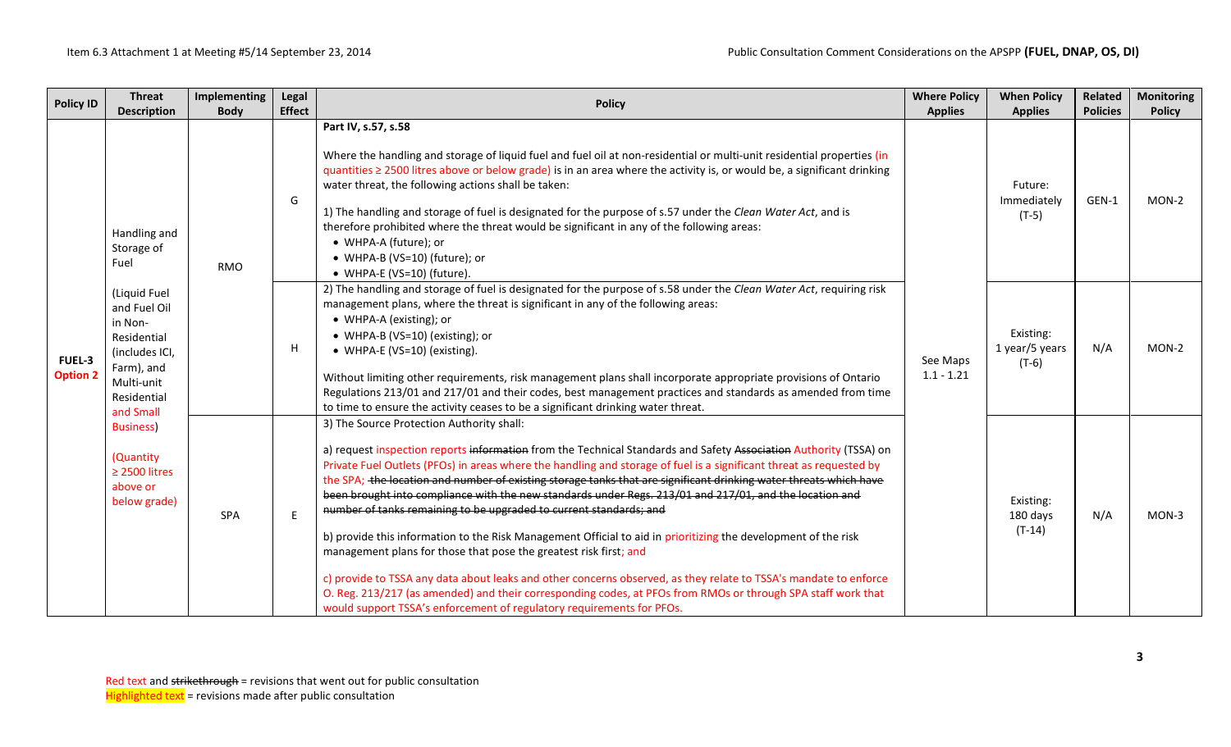| <b>Policy ID</b>                 | <b>Threat</b>                                                                                                                    | Implementing | Legal         |                                                                                                                                                                                                                                                                                                                                                                                                                                                                                                                                                                                                                                                                                                                                                                                                                                                                                                                                                                                                                                                                                                 | <b>Where Policy</b>      | <b>When Policy</b>                     | <b>Related</b>  | <b>Monitoring</b> |
|----------------------------------|----------------------------------------------------------------------------------------------------------------------------------|--------------|---------------|-------------------------------------------------------------------------------------------------------------------------------------------------------------------------------------------------------------------------------------------------------------------------------------------------------------------------------------------------------------------------------------------------------------------------------------------------------------------------------------------------------------------------------------------------------------------------------------------------------------------------------------------------------------------------------------------------------------------------------------------------------------------------------------------------------------------------------------------------------------------------------------------------------------------------------------------------------------------------------------------------------------------------------------------------------------------------------------------------|--------------------------|----------------------------------------|-----------------|-------------------|
|                                  | <b>Description</b>                                                                                                               | <b>Body</b>  | <b>Effect</b> | <b>Policy</b>                                                                                                                                                                                                                                                                                                                                                                                                                                                                                                                                                                                                                                                                                                                                                                                                                                                                                                                                                                                                                                                                                   | <b>Applies</b>           | <b>Applies</b>                         | <b>Policies</b> | <b>Policy</b>     |
|                                  | Handling and<br>Storage of<br>Fuel                                                                                               | <b>RMO</b>   | G             | Part IV, s.57, s.58<br>Where the handling and storage of liquid fuel and fuel oil at non-residential or multi-unit residential properties (in<br>quantities ≥ 2500 litres above or below grade) is in an area where the activity is, or would be, a significant drinking<br>water threat, the following actions shall be taken:<br>1) The handling and storage of fuel is designated for the purpose of s.57 under the Clean Water Act, and is<br>therefore prohibited where the threat would be significant in any of the following areas:<br>• WHPA-A (future); or<br>• WHPA-B (VS=10) (future); or<br>• WHPA-E (VS=10) (future).                                                                                                                                                                                                                                                                                                                                                                                                                                                             |                          | Future:<br>Immediately<br>$(T-5)$      | GEN-1           | $MON-2$           |
| <b>FUEL-3</b><br><b>Option 2</b> | (Liquid Fuel<br>and Fuel Oil<br>in Non-<br>Residential<br>(includes ICI,<br>Farm), and<br>Multi-unit<br>Residential<br>and Small | H            |               | 2) The handling and storage of fuel is designated for the purpose of s.58 under the Clean Water Act, requiring risk<br>management plans, where the threat is significant in any of the following areas:<br>• WHPA-A (existing); or<br>• WHPA-B (VS=10) (existing); or<br>• WHPA-E (VS=10) (existing).<br>Without limiting other requirements, risk management plans shall incorporate appropriate provisions of Ontario<br>Regulations 213/01 and 217/01 and their codes, best management practices and standards as amended from time<br>to time to ensure the activity ceases to be a significant drinking water threat.                                                                                                                                                                                                                                                                                                                                                                                                                                                                      | See Maps<br>$1.1 - 1.21$ | Existing:<br>1 year/5 years<br>$(T-6)$ | N/A             | $MON-2$           |
|                                  | <b>Business)</b><br>(Quantity<br>$\geq$ 2500 litres<br>above or<br>below grade)                                                  | <b>SPA</b>   | E             | 3) The Source Protection Authority shall:<br>a) request inspection reports information from the Technical Standards and Safety Association Authority (TSSA) on<br>Private Fuel Outlets (PFOs) in areas where the handling and storage of fuel is a significant threat as requested by<br>the SPA; the location and number of existing storage tanks that are significant drinking water threats which have<br>been brought into compliance with the new standards under Regs. 213/01 and 217/01, and the location and<br>number of tanks remaining to be upgraded to current standards; and<br>b) provide this information to the Risk Management Official to aid in prioritizing the development of the risk<br>management plans for those that pose the greatest risk first; and<br>c) provide to TSSA any data about leaks and other concerns observed, as they relate to TSSA's mandate to enforce<br>O. Reg. 213/217 (as amended) and their corresponding codes, at PFOs from RMOs or through SPA staff work that<br>would support TSSA's enforcement of regulatory requirements for PFOs. |                          | Existing:<br>180 days<br>$(T-14)$      | N/A             | $MON-3$           |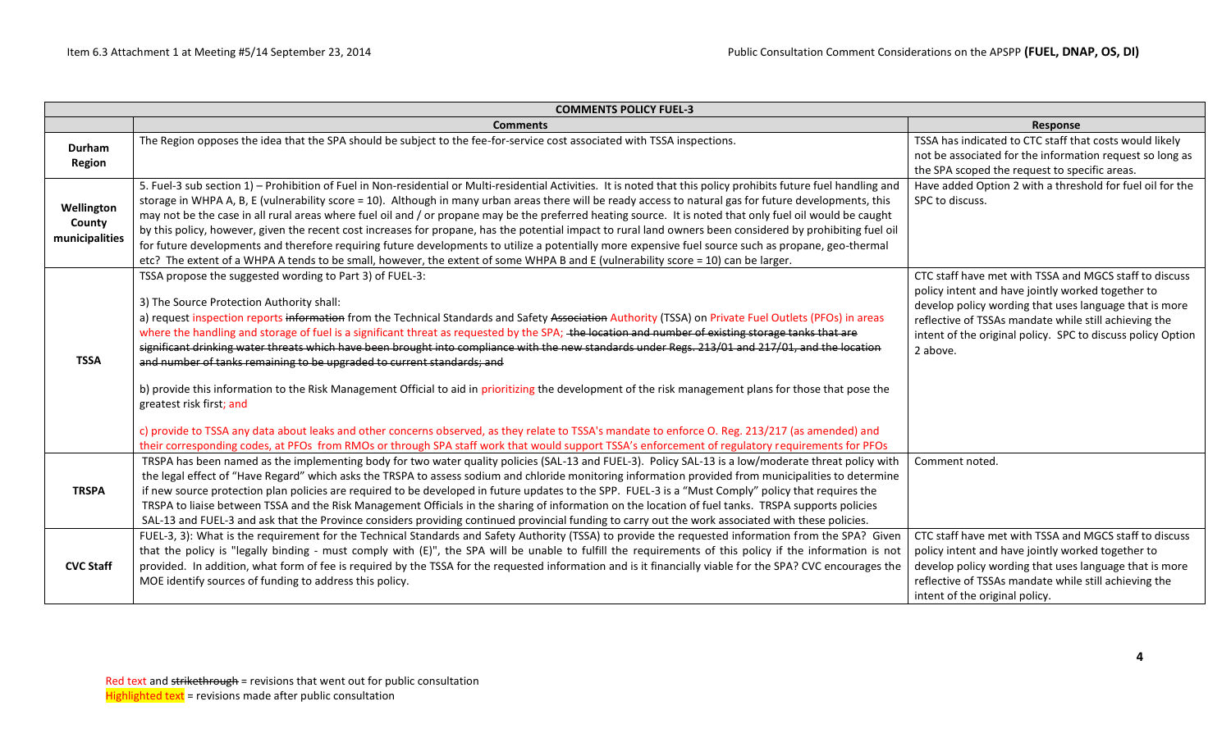|                                        | <b>COMMENTS POLICY FUEL-3</b>                                                                                                                                                                                                                                                                                                                                                                                                                                                                                                                                                                                                                                                                                                                                                                                                                                                                                                                                                                                                                                                                                                                        |                                                                                                                                                                                                                                                                                                           |
|----------------------------------------|------------------------------------------------------------------------------------------------------------------------------------------------------------------------------------------------------------------------------------------------------------------------------------------------------------------------------------------------------------------------------------------------------------------------------------------------------------------------------------------------------------------------------------------------------------------------------------------------------------------------------------------------------------------------------------------------------------------------------------------------------------------------------------------------------------------------------------------------------------------------------------------------------------------------------------------------------------------------------------------------------------------------------------------------------------------------------------------------------------------------------------------------------|-----------------------------------------------------------------------------------------------------------------------------------------------------------------------------------------------------------------------------------------------------------------------------------------------------------|
|                                        | <b>Comments</b>                                                                                                                                                                                                                                                                                                                                                                                                                                                                                                                                                                                                                                                                                                                                                                                                                                                                                                                                                                                                                                                                                                                                      | <b>Response</b>                                                                                                                                                                                                                                                                                           |
| Durham<br><b>Region</b>                | The Region opposes the idea that the SPA should be subject to the fee-for-service cost associated with TSSA inspections.                                                                                                                                                                                                                                                                                                                                                                                                                                                                                                                                                                                                                                                                                                                                                                                                                                                                                                                                                                                                                             | TSSA has indicated to CTC staff that costs would likely<br>not be associated for the information request so long as<br>the SPA scoped the request to specific areas.                                                                                                                                      |
| Wellington<br>County<br>municipalities | 5. Fuel-3 sub section 1) - Prohibition of Fuel in Non-residential or Multi-residential Activities. It is noted that this policy prohibits future fuel handling and<br>storage in WHPA A, B, E (vulnerability score = 10). Although in many urban areas there will be ready access to natural gas for future developments, this<br>may not be the case in all rural areas where fuel oil and / or propane may be the preferred heating source. It is noted that only fuel oil would be caught<br>by this policy, however, given the recent cost increases for propane, has the potential impact to rural land owners been considered by prohibiting fuel oil<br>for future developments and therefore requiring future developments to utilize a potentially more expensive fuel source such as propane, geo-thermal<br>etc? The extent of a WHPA A tends to be small, however, the extent of some WHPA B and E (vulnerability score = 10) can be larger.                                                                                                                                                                                             | Have added Option 2 with a threshold for fuel oil for the<br>SPC to discuss.                                                                                                                                                                                                                              |
| <b>TSSA</b>                            | TSSA propose the suggested wording to Part 3) of FUEL-3:<br>3) The Source Protection Authority shall:<br>a) request inspection reports information from the Technical Standards and Safety Association Authority (TSSA) on Private Fuel Outlets (PFOs) in areas<br>where the handling and storage of fuel is a significant threat as requested by the SPA; the location and number of existing storage tanks that are<br>significant drinking water threats which have been brought into compliance with the new standards under Regs. 213/01 and 217/01, and the location<br>and number of tanks remaining to be upgraded to current standards; and<br>b) provide this information to the Risk Management Official to aid in prioritizing the development of the risk management plans for those that pose the<br>greatest risk first; and<br>c) provide to TSSA any data about leaks and other concerns observed, as they relate to TSSA's mandate to enforce O. Reg. 213/217 (as amended) and<br>their corresponding codes, at PFOs from RMOs or through SPA staff work that would support TSSA's enforcement of regulatory requirements for PFOs | CTC staff have met with TSSA and MGCS staff to discuss<br>policy intent and have jointly worked together to<br>develop policy wording that uses language that is more<br>reflective of TSSAs mandate while still achieving the<br>intent of the original policy. SPC to discuss policy Option<br>2 above. |
| <b>TRSPA</b>                           | TRSPA has been named as the implementing body for two water quality policies (SAL-13 and FUEL-3). Policy SAL-13 is a low/moderate threat policy with<br>the legal effect of "Have Regard" which asks the TRSPA to assess sodium and chloride monitoring information provided from municipalities to determine<br>if new source protection plan policies are required to be developed in future updates to the SPP. FUEL-3 is a "Must Comply" policy that requires the<br>TRSPA to liaise between TSSA and the Risk Management Officials in the sharing of information on the location of fuel tanks. TRSPA supports policies<br>SAL-13 and FUEL-3 and ask that the Province considers providing continued provincial funding to carry out the work associated with these policies.                                                                                                                                                                                                                                                                                                                                                                   | Comment noted.                                                                                                                                                                                                                                                                                            |
| <b>CVC Staff</b>                       | FUEL-3, 3): What is the requirement for the Technical Standards and Safety Authority (TSSA) to provide the requested information from the SPA? Given<br>that the policy is "legally binding - must comply with (E)", the SPA will be unable to fulfill the requirements of this policy if the information is not<br>provided. In addition, what form of fee is required by the TSSA for the requested information and is it financially viable for the SPA? CVC encourages the<br>MOE identify sources of funding to address this policy.                                                                                                                                                                                                                                                                                                                                                                                                                                                                                                                                                                                                            | CTC staff have met with TSSA and MGCS staff to discuss<br>policy intent and have jointly worked together to<br>develop policy wording that uses language that is more<br>reflective of TSSAs mandate while still achieving the<br>intent of the original policy.                                          |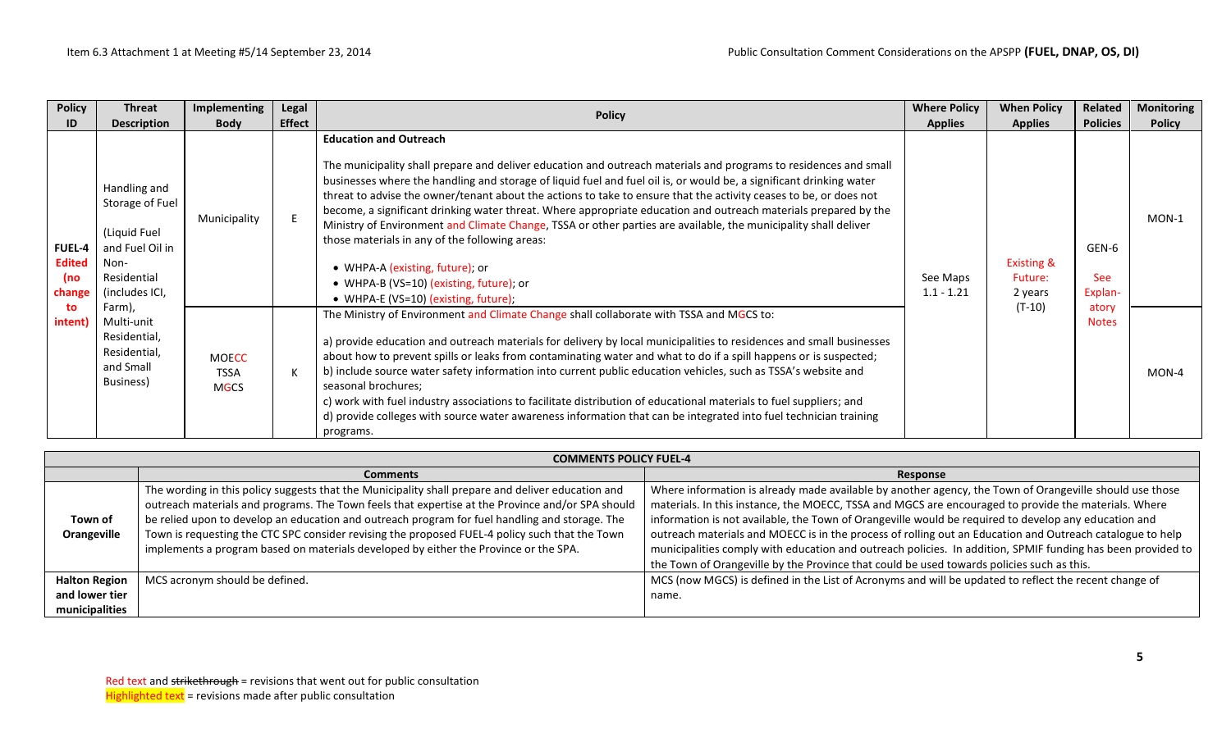| <b>Policy</b>                                   | <b>Threat</b>                                                                                                                      | Implementing | Legal                                                                                                                                                                                                                                                                                                                                                                                                                                                                                                                                                                                                                                                                                                                             |                                                                                                                                                                                                                                                                                                                                                                                                                                                                                                                                                                                                                                                                                                                                                                                                             | <b>Where Policy</b>      | <b>When Policy</b>                          | Related                        | <b>Monitoring</b> |
|-------------------------------------------------|------------------------------------------------------------------------------------------------------------------------------------|--------------|-----------------------------------------------------------------------------------------------------------------------------------------------------------------------------------------------------------------------------------------------------------------------------------------------------------------------------------------------------------------------------------------------------------------------------------------------------------------------------------------------------------------------------------------------------------------------------------------------------------------------------------------------------------------------------------------------------------------------------------|-------------------------------------------------------------------------------------------------------------------------------------------------------------------------------------------------------------------------------------------------------------------------------------------------------------------------------------------------------------------------------------------------------------------------------------------------------------------------------------------------------------------------------------------------------------------------------------------------------------------------------------------------------------------------------------------------------------------------------------------------------------------------------------------------------------|--------------------------|---------------------------------------------|--------------------------------|-------------------|
| ID                                              | <b>Description</b>                                                                                                                 | <b>Body</b>  | <b>Effect</b>                                                                                                                                                                                                                                                                                                                                                                                                                                                                                                                                                                                                                                                                                                                     | <b>Policy</b>                                                                                                                                                                                                                                                                                                                                                                                                                                                                                                                                                                                                                                                                                                                                                                                               | <b>Applies</b>           | <b>Applies</b>                              | <b>Policies</b>                | <b>Policy</b>     |
| <b>FUEL-4</b><br><b>Edited</b><br>(no<br>change | Handling and<br>Storage of Fuel<br>(Liquid Fuel<br>and Fuel Oil in<br>Non-<br>Residential<br>(includes ICI,                        | Municipality |                                                                                                                                                                                                                                                                                                                                                                                                                                                                                                                                                                                                                                                                                                                                   | <b>Education and Outreach</b><br>The municipality shall prepare and deliver education and outreach materials and programs to residences and small<br>businesses where the handling and storage of liquid fuel and fuel oil is, or would be, a significant drinking water<br>threat to advise the owner/tenant about the actions to take to ensure that the activity ceases to be, or does not<br>become, a significant drinking water threat. Where appropriate education and outreach materials prepared by the<br>Ministry of Environment and Climate Change, TSSA or other parties are available, the municipality shall deliver<br>those materials in any of the following areas:<br>• WHPA-A (existing, future); or<br>• WHPA-B (VS=10) (existing, future); or<br>• WHPA-E (VS=10) (existing, future); | See Maps<br>$1.1 - 1.21$ | <b>Existing &amp;</b><br>Future:<br>2 years | GEN-6<br><b>See</b><br>Explan- | $MON-1$           |
| intent)                                         | Farm),<br>to<br>Multi-unit<br>Residential,<br>Residential,<br><b>MOECC</b><br>and Small<br><b>TSSA</b><br>Business)<br><b>MGCS</b> | К            | The Ministry of Environment and Climate Change shall collaborate with TSSA and MGCS to:<br>a) provide education and outreach materials for delivery by local municipalities to residences and small businesses<br>about how to prevent spills or leaks from contaminating water and what to do if a spill happens or is suspected;<br>b) include source water safety information into current public education vehicles, such as TSSA's website and<br>seasonal brochures;<br>c) work with fuel industry associations to facilitate distribution of educational materials to fuel suppliers; and<br>d) provide colleges with source water awareness information that can be integrated into fuel technician training<br>programs. |                                                                                                                                                                                                                                                                                                                                                                                                                                                                                                                                                                                                                                                                                                                                                                                                             | $(T-10)$                 | atory<br><b>Notes</b>                       | $MON-4$                        |                   |

|                        | <b>COMMENTS POLICY FUEL-4</b>                                                                                                                                                                                                                                                                                                                                                                             |                                                                                                                                                                                                                                                                                                                                                                                                                                      |
|------------------------|-----------------------------------------------------------------------------------------------------------------------------------------------------------------------------------------------------------------------------------------------------------------------------------------------------------------------------------------------------------------------------------------------------------|--------------------------------------------------------------------------------------------------------------------------------------------------------------------------------------------------------------------------------------------------------------------------------------------------------------------------------------------------------------------------------------------------------------------------------------|
|                        | <b>Comments</b>                                                                                                                                                                                                                                                                                                                                                                                           | Response                                                                                                                                                                                                                                                                                                                                                                                                                             |
| Town of<br>Orangeville | The wording in this policy suggests that the Municipality shall prepare and deliver education and<br>outreach materials and programs. The Town feels that expertise at the Province and/or SPA should<br>be relied upon to develop an education and outreach program for fuel handling and storage. The<br>Town is requesting the CTC SPC consider revising the proposed FUEL-4 policy such that the Town | Where information is already made available by another agency, the Town of Orangeville should use those<br>materials. In this instance, the MOECC, TSSA and MGCS are encouraged to provide the materials. Where<br>information is not available, the Town of Orangeville would be required to develop any education and<br>outreach materials and MOECC is in the process of rolling out an Education and Outreach catalogue to help |
|                        | implements a program based on materials developed by either the Province or the SPA.                                                                                                                                                                                                                                                                                                                      | municipalities comply with education and outreach policies. In addition, SPMIF funding has been provided to  <br>the Town of Orangeville by the Province that could be used towards policies such as this.                                                                                                                                                                                                                           |
| <b>Halton Region</b>   | MCS acronym should be defined.                                                                                                                                                                                                                                                                                                                                                                            | MCS (now MGCS) is defined in the List of Acronyms and will be updated to reflect the recent change of                                                                                                                                                                                                                                                                                                                                |
| and lower tier         |                                                                                                                                                                                                                                                                                                                                                                                                           | name.                                                                                                                                                                                                                                                                                                                                                                                                                                |
| municipalities         |                                                                                                                                                                                                                                                                                                                                                                                                           |                                                                                                                                                                                                                                                                                                                                                                                                                                      |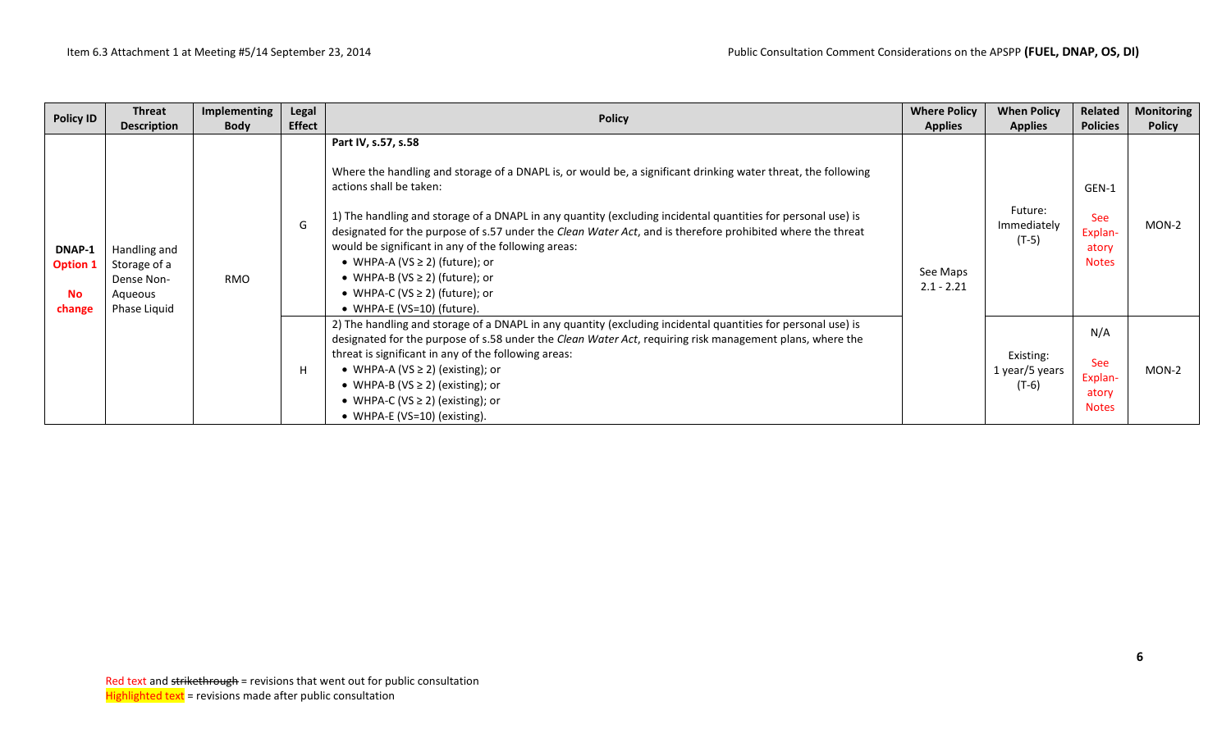| <b>Policy ID</b>                          | <b>Threat</b><br><b>Description</b>                                   | Implementing<br><b>Body</b> | Legal<br><b>Effect</b> | <b>Policy</b>                                                                                                                                                                                                                                                                                                                                                                                                                                                                                                                                                                                           | <b>Where Policy</b><br><b>Applies</b> | <b>When Policy</b><br><b>Applies</b>   | Related<br><b>Policies</b>                              | <b>Monitoring</b><br><b>Policy</b> |
|-------------------------------------------|-----------------------------------------------------------------------|-----------------------------|------------------------|---------------------------------------------------------------------------------------------------------------------------------------------------------------------------------------------------------------------------------------------------------------------------------------------------------------------------------------------------------------------------------------------------------------------------------------------------------------------------------------------------------------------------------------------------------------------------------------------------------|---------------------------------------|----------------------------------------|---------------------------------------------------------|------------------------------------|
| DNAP-1<br><b>Option 1</b><br>No<br>change | Handling and<br>Storage of a<br>Dense Non-<br>Aqueous<br>Phase Liquid | RMO                         | G                      | Part IV, s.57, s.58<br>Where the handling and storage of a DNAPL is, or would be, a significant drinking water threat, the following<br>actions shall be taken:<br>1) The handling and storage of a DNAPL in any quantity (excluding incidental quantities for personal use) is<br>designated for the purpose of s.57 under the Clean Water Act, and is therefore prohibited where the threat<br>would be significant in any of the following areas:<br>• WHPA-A (VS $\geq$ 2) (future); or<br>• WHPA-B (VS $\geq$ 2) (future); or<br>• WHPA-C (VS $\geq$ 2) (future); or<br>• WHPA-E (VS=10) (future). | See Maps<br>$2.1 - 2.21$              | Future:<br>Immediately<br>$(T-5)$      | GEN-1<br><b>See</b><br>Explan-<br>atory<br><b>Notes</b> | MON-2                              |
|                                           |                                                                       |                             | Н                      | 2) The handling and storage of a DNAPL in any quantity (excluding incidental quantities for personal use) is<br>designated for the purpose of s.58 under the Clean Water Act, requiring risk management plans, where the<br>threat is significant in any of the following areas:<br>• WHPA-A (VS $\geq$ 2) (existing); or<br>• WHPA-B (VS $\geq$ 2) (existing); or<br>• WHPA-C (VS $\geq$ 2) (existing); or<br>• WHPA-E (VS=10) (existing).                                                                                                                                                             |                                       | Existing:<br>1 year/5 years<br>$(T-6)$ | N/A<br><b>See</b><br>Explan-<br>atory<br><b>Notes</b>   | MON-2                              |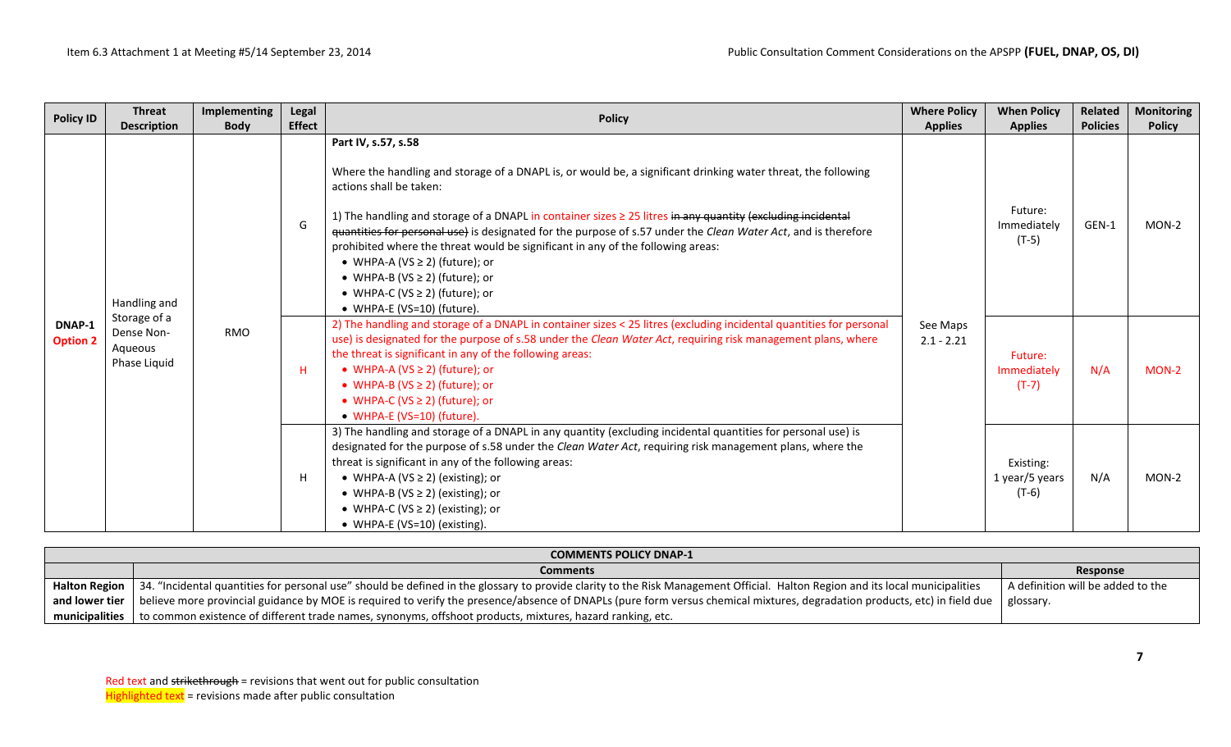| <b>Policy ID</b> | <b>Threat</b><br><b>Description</b>                                                                   | Implementing<br><b>Body</b> | Legal<br><b>Effect</b>                                                                                                                                                                                                                                                                                                                                                                                                                                                                                                                                                                                                                      | <b>Policy</b>            | <b>Where Policy</b><br><b>Applies</b>                                                                                                                                                                                                                                                                                                                                                                                                       | <b>When Policy</b><br><b>Applies</b> | Related<br><b>Policies</b>             | <b>Monitoring</b><br><b>Policy</b> |
|------------------|-------------------------------------------------------------------------------------------------------|-----------------------------|---------------------------------------------------------------------------------------------------------------------------------------------------------------------------------------------------------------------------------------------------------------------------------------------------------------------------------------------------------------------------------------------------------------------------------------------------------------------------------------------------------------------------------------------------------------------------------------------------------------------------------------------|--------------------------|---------------------------------------------------------------------------------------------------------------------------------------------------------------------------------------------------------------------------------------------------------------------------------------------------------------------------------------------------------------------------------------------------------------------------------------------|--------------------------------------|----------------------------------------|------------------------------------|
|                  | G<br>Handling and<br>Storage of a<br>DNAP-1<br>Dense Non-<br>RMO<br>Aqueous<br>Phase Liquid<br>H<br>H |                             | Part IV, s.57, s.58<br>Where the handling and storage of a DNAPL is, or would be, a significant drinking water threat, the following<br>actions shall be taken:<br>1) The handling and storage of a DNAPL in container sizes $\geq$ 25 litres in any quantity (excluding incidental<br>quantities for personal use) is designated for the purpose of s.57 under the Clean Water Act, and is therefore<br>prohibited where the threat would be significant in any of the following areas:<br>• WHPA-A (VS $\geq$ 2) (future); or<br>• WHPA-B (VS $\geq$ 2) (future); or<br>• WHPA-C (VS $\geq$ 2) (future); or<br>• WHPA-E (VS=10) (future). |                          | Future:<br>Immediately<br>$(T-5)$                                                                                                                                                                                                                                                                                                                                                                                                           | GEN-1                                | $MON-2$                                |                                    |
| <b>Option 2</b>  |                                                                                                       |                             | 2) The handling and storage of a DNAPL in container sizes < 25 litres (excluding incidental quantities for personal<br>use) is designated for the purpose of s.58 under the Clean Water Act, requiring risk management plans, where<br>the threat is significant in any of the following areas:<br>• WHPA-A (VS $\geq$ 2) (future); or<br>• WHPA-B ( $VS \ge 2$ ) (future); or<br>• WHPA-C (VS $\geq$ 2) (future); or<br>• WHPA-E (VS=10) (future)                                                                                                                                                                                          | See Maps<br>$2.1 - 2.21$ | Future:<br>Immediately<br>$(T-7)$                                                                                                                                                                                                                                                                                                                                                                                                           | N/A                                  | $MON-2$                                |                                    |
|                  |                                                                                                       |                             |                                                                                                                                                                                                                                                                                                                                                                                                                                                                                                                                                                                                                                             |                          | 3) The handling and storage of a DNAPL in any quantity (excluding incidental quantities for personal use) is<br>designated for the purpose of s.58 under the Clean Water Act, requiring risk management plans, where the<br>threat is significant in any of the following areas:<br>• WHPA-A (VS $\geq$ 2) (existing); or<br>• WHPA-B (VS $\geq$ 2) (existing); or<br>• WHPA-C (VS $\geq$ 2) (existing); or<br>• WHPA-E (VS=10) (existing). |                                      | Existing:<br>1 year/5 years<br>$(T-6)$ | N/A                                |

|                | <b>COMMENTS POLICY DNAP-1</b>                                                                                                                                                                          |                                   |  |  |  |  |  |  |
|----------------|--------------------------------------------------------------------------------------------------------------------------------------------------------------------------------------------------------|-----------------------------------|--|--|--|--|--|--|
|                | <b>Comments</b>                                                                                                                                                                                        | Response                          |  |  |  |  |  |  |
|                | Halton Region   34. "Incidental quantities for personal use" should be defined in the glossary to provide clarity to the Risk Management Official. Halton Region and its local municipalities          | A definition will be added to the |  |  |  |  |  |  |
|                | and lower tier   believe more provincial guidance by MOE is required to verify the presence/absence of DNAPLs (pure form versus chemical mixtures, degradation products, etc) in field due   glossary. |                                   |  |  |  |  |  |  |
| municipalities | to common existence of different trade names, synonyms, offshoot products, mixtures, hazard ranking, etc.                                                                                              |                                   |  |  |  |  |  |  |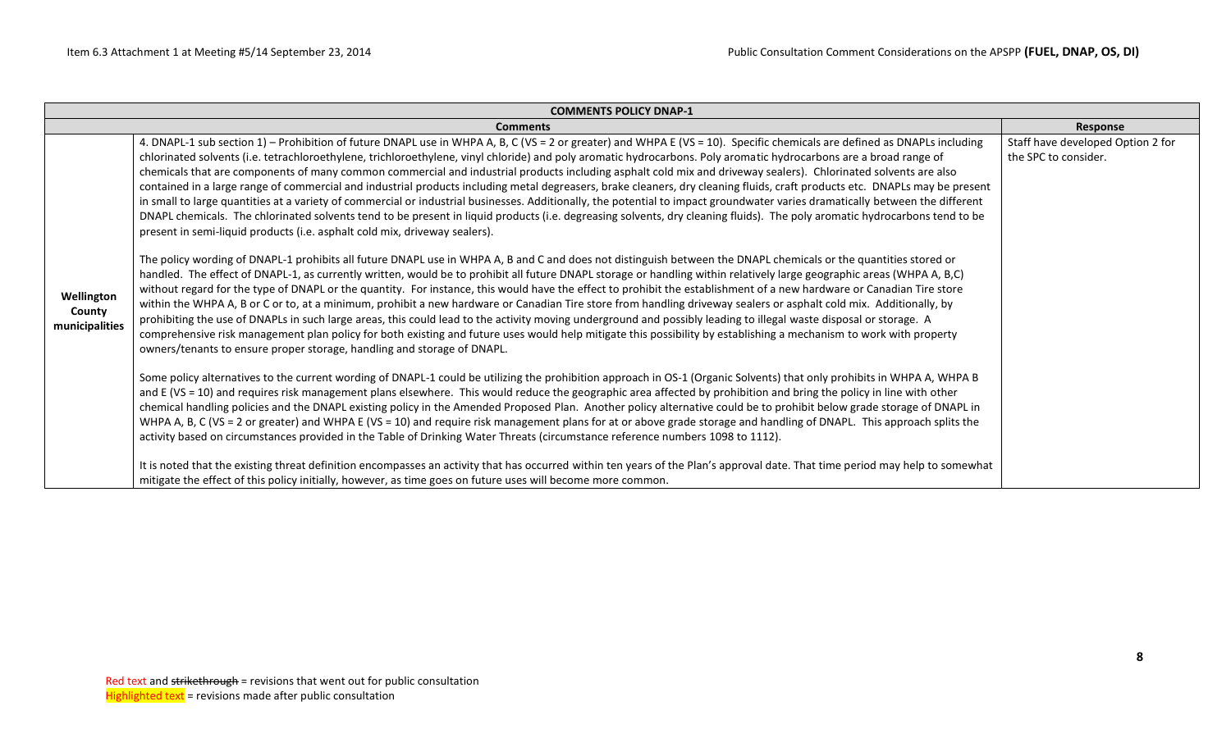|                                        | <b>COMMENTS POLICY DNAP-1</b>                                                                                                                                                                                                                                                                                                                                                                                                                                                                                                                                                                                                                                                                                                                                                                                                                                                                                                                                                                                                                                                                                                                 |                                                           |  |  |  |  |  |
|----------------------------------------|-----------------------------------------------------------------------------------------------------------------------------------------------------------------------------------------------------------------------------------------------------------------------------------------------------------------------------------------------------------------------------------------------------------------------------------------------------------------------------------------------------------------------------------------------------------------------------------------------------------------------------------------------------------------------------------------------------------------------------------------------------------------------------------------------------------------------------------------------------------------------------------------------------------------------------------------------------------------------------------------------------------------------------------------------------------------------------------------------------------------------------------------------|-----------------------------------------------------------|--|--|--|--|--|
|                                        | <b>Comments</b>                                                                                                                                                                                                                                                                                                                                                                                                                                                                                                                                                                                                                                                                                                                                                                                                                                                                                                                                                                                                                                                                                                                               | Response                                                  |  |  |  |  |  |
|                                        | 4. DNAPL-1 sub section 1) - Prohibition of future DNAPL use in WHPA A, B, C (VS = 2 or greater) and WHPA E (VS = 10). Specific chemicals are defined as DNAPLs including<br>chlorinated solvents (i.e. tetrachloroethylene, trichloroethylene, vinyl chloride) and poly aromatic hydrocarbons. Poly aromatic hydrocarbons are a broad range of<br>chemicals that are components of many common commercial and industrial products including asphalt cold mix and driveway sealers). Chlorinated solvents are also<br>contained in a large range of commercial and industrial products including metal degreasers, brake cleaners, dry cleaning fluids, craft products etc. DNAPLs may be present<br>in small to large quantities at a variety of commercial or industrial businesses. Additionally, the potential to impact groundwater varies dramatically between the different<br>DNAPL chemicals. The chlorinated solvents tend to be present in liquid products (i.e. degreasing solvents, dry cleaning fluids). The poly aromatic hydrocarbons tend to be<br>present in semi-liquid products (i.e. asphalt cold mix, driveway sealers). | Staff have developed Option 2 for<br>the SPC to consider. |  |  |  |  |  |
| Wellington<br>County<br>municipalities | The policy wording of DNAPL-1 prohibits all future DNAPL use in WHPA A, B and C and does not distinguish between the DNAPL chemicals or the quantities stored or<br>handled. The effect of DNAPL-1, as currently written, would be to prohibit all future DNAPL storage or handling within relatively large geographic areas (WHPA A, B,C)<br>without regard for the type of DNAPL or the quantity. For instance, this would have the effect to prohibit the establishment of a new hardware or Canadian Tire store<br>within the WHPA A, B or C or to, at a minimum, prohibit a new hardware or Canadian Tire store from handling driveway sealers or asphalt cold mix. Additionally, by<br>prohibiting the use of DNAPLs in such large areas, this could lead to the activity moving underground and possibly leading to illegal waste disposal or storage. A<br>comprehensive risk management plan policy for both existing and future uses would help mitigate this possibility by establishing a mechanism to work with property<br>owners/tenants to ensure proper storage, handling and storage of DNAPL.                              |                                                           |  |  |  |  |  |
|                                        | Some policy alternatives to the current wording of DNAPL-1 could be utilizing the prohibition approach in OS-1 (Organic Solvents) that only prohibits in WHPA A, WHPA B<br>and E (VS = 10) and requires risk management plans elsewhere. This would reduce the geographic area affected by prohibition and bring the policy in line with other<br>chemical handling policies and the DNAPL existing policy in the Amended Proposed Plan. Another policy alternative could be to prohibit below grade storage of DNAPL in<br>WHPA A, B, C (VS = 2 or greater) and WHPA E (VS = 10) and require risk management plans for at or above grade storage and handling of DNAPL. This approach splits the<br>activity based on circumstances provided in the Table of Drinking Water Threats (circumstance reference numbers 1098 to 1112).                                                                                                                                                                                                                                                                                                           |                                                           |  |  |  |  |  |
|                                        | It is noted that the existing threat definition encompasses an activity that has occurred within ten years of the Plan's approval date. That time period may help to somewhat<br>mitigate the effect of this policy initially, however, as time goes on future uses will become more common.                                                                                                                                                                                                                                                                                                                                                                                                                                                                                                                                                                                                                                                                                                                                                                                                                                                  |                                                           |  |  |  |  |  |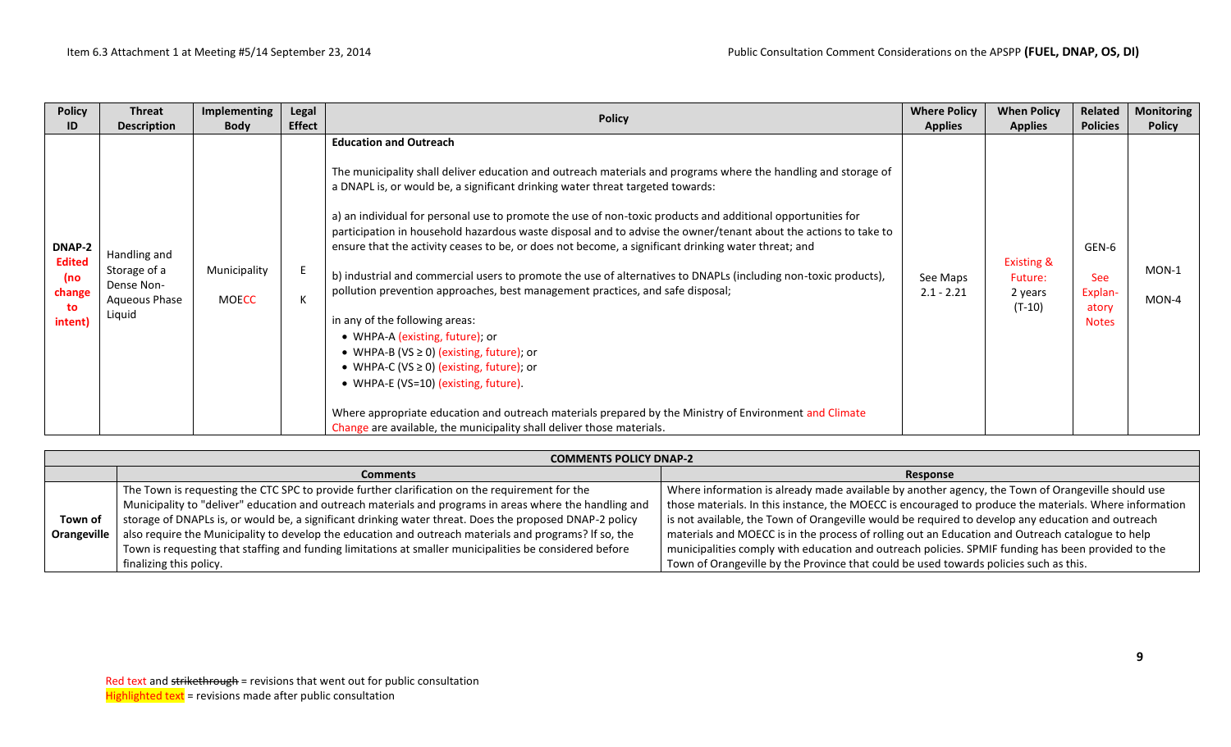| <b>Policy</b>                                                   | <b>Threat</b>                                                                                      | Implementing                                | Legal              | <b>Policy</b>                                                                                                                                                                                                                                                                                                                                                                                                                                                                                                                                                                                                                                                                                                                                                                                                                                                                                                                                                                                                                                                                                                                                                                     | <b>Where Policy</b>                        | <b>When Policy</b>                                                      | Related                                                                    | <b>Monitoring</b>                 |
|-----------------------------------------------------------------|----------------------------------------------------------------------------------------------------|---------------------------------------------|--------------------|-----------------------------------------------------------------------------------------------------------------------------------------------------------------------------------------------------------------------------------------------------------------------------------------------------------------------------------------------------------------------------------------------------------------------------------------------------------------------------------------------------------------------------------------------------------------------------------------------------------------------------------------------------------------------------------------------------------------------------------------------------------------------------------------------------------------------------------------------------------------------------------------------------------------------------------------------------------------------------------------------------------------------------------------------------------------------------------------------------------------------------------------------------------------------------------|--------------------------------------------|-------------------------------------------------------------------------|----------------------------------------------------------------------------|-----------------------------------|
| ID<br>DNAP-2<br><b>Edited</b><br>(no<br>change<br>to<br>intent) | <b>Description</b><br>Handling and<br>Storage of a<br>Dense Non-<br><b>Aqueous Phase</b><br>Liquid | <b>Body</b><br>Municipality<br><b>MOECC</b> | <b>Effect</b><br>K | <b>Education and Outreach</b><br>The municipality shall deliver education and outreach materials and programs where the handling and storage of<br>a DNAPL is, or would be, a significant drinking water threat targeted towards:<br>a) an individual for personal use to promote the use of non-toxic products and additional opportunities for<br>participation in household hazardous waste disposal and to advise the owner/tenant about the actions to take to<br>ensure that the activity ceases to be, or does not become, a significant drinking water threat; and<br>b) industrial and commercial users to promote the use of alternatives to DNAPLs (including non-toxic products),<br>pollution prevention approaches, best management practices, and safe disposal;<br>in any of the following areas:<br>• WHPA-A (existing, future); or<br>• WHPA-B (VS $\geq$ 0) (existing, future); or<br>• WHPA-C (VS $\geq$ 0) (existing, future); or<br>• WHPA-E (VS=10) (existing, future).<br>Where appropriate education and outreach materials prepared by the Ministry of Environment and Climate<br>Change are available, the municipality shall deliver those materials. | <b>Applies</b><br>See Maps<br>$2.1 - 2.21$ | <b>Applies</b><br><b>Existing &amp;</b><br>Future:<br>2 years<br>(T-10) | <b>Policies</b><br>GEN-6<br><b>See</b><br>Explan-<br>atory<br><b>Notes</b> | <b>Policy</b><br>MON-1<br>$MON-4$ |

|             | <b>COMMENTS POLICY DNAP-2</b>                                                                           |                                                                                                        |
|-------------|---------------------------------------------------------------------------------------------------------|--------------------------------------------------------------------------------------------------------|
|             | <b>Comments</b>                                                                                         | Response                                                                                               |
|             | The Town is requesting the CTC SPC to provide further clarification on the requirement for the          | Where information is already made available by another agency, the Town of Orangeville should use      |
|             | Municipality to "deliver" education and outreach materials and programs in areas where the handling and | those materials. In this instance, the MOECC is encouraged to produce the materials. Where information |
| Town of     | storage of DNAPLs is, or would be, a significant drinking water threat. Does the proposed DNAP-2 policy | is not available, the Town of Orangeville would be required to develop any education and outreach      |
| Orangeville | also require the Municipality to develop the education and outreach materials and programs? If so, the  | materials and MOECC is in the process of rolling out an Education and Outreach catalogue to help       |
|             | Town is requesting that staffing and funding limitations at smaller municipalities be considered before | municipalities comply with education and outreach policies. SPMIF funding has been provided to the     |
|             | finalizing this policy.                                                                                 | Town of Orangeville by the Province that could be used towards policies such as this.                  |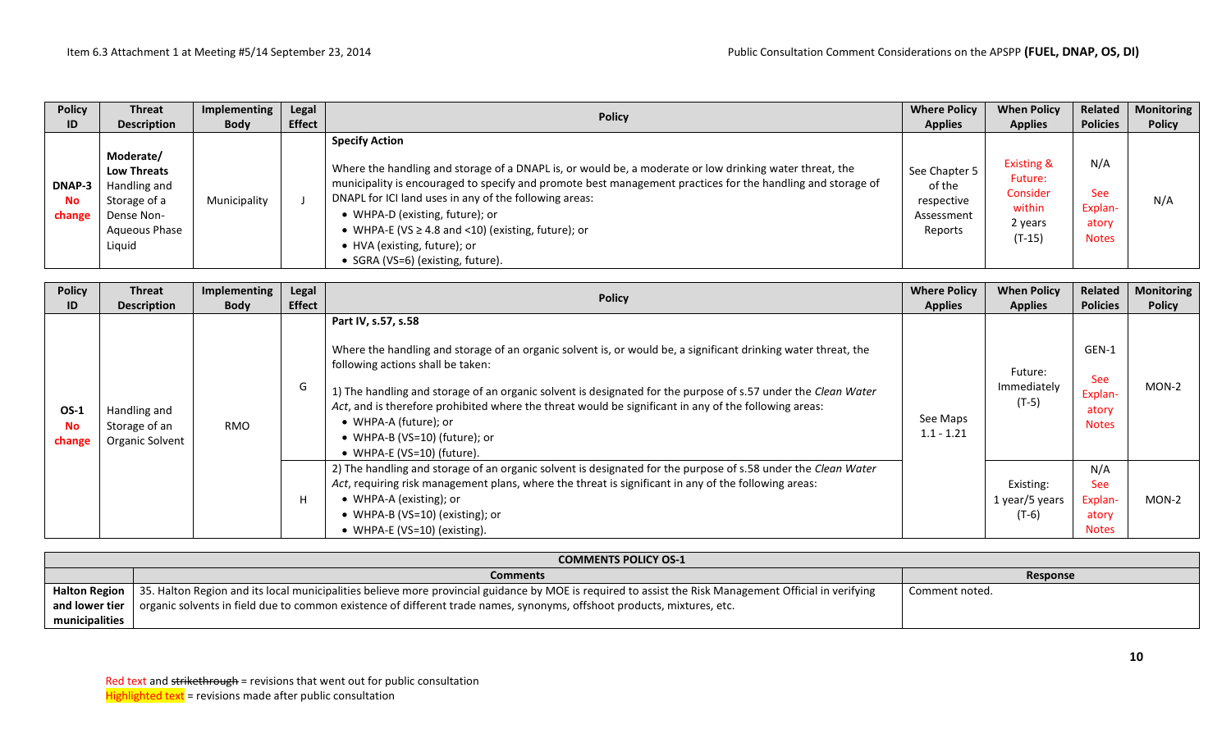| <b>Policy</b>                  | <b>Threat</b>                                                                                            | Implementing | Legal         | <b>Policy</b>                                                                                                                                                                                                                                                                                                                                                                                                                                                                | <b>Where Policy</b>                                            | <b>When Policy</b>                                                            | Related                                               | <b>Monitoring</b> |
|--------------------------------|----------------------------------------------------------------------------------------------------------|--------------|---------------|------------------------------------------------------------------------------------------------------------------------------------------------------------------------------------------------------------------------------------------------------------------------------------------------------------------------------------------------------------------------------------------------------------------------------------------------------------------------------|----------------------------------------------------------------|-------------------------------------------------------------------------------|-------------------------------------------------------|-------------------|
| ID                             | <b>Description</b>                                                                                       | <b>Body</b>  | <b>Effect</b> |                                                                                                                                                                                                                                                                                                                                                                                                                                                                              | <b>Applies</b>                                                 | <b>Applies</b>                                                                | <b>Policies</b>                                       | <b>Policy</b>     |
| <b>DNAP-3</b><br>No.<br>change | Moderate/<br><b>Low Threats</b><br>Handling and<br>Storage of a<br>Dense Non-<br>Aqueous Phase<br>Liquid | Municipality |               | <b>Specify Action</b><br>Where the handling and storage of a DNAPL is, or would be, a moderate or low drinking water threat, the<br>municipality is encouraged to specify and promote best management practices for the handling and storage of<br>DNAPL for ICI land uses in any of the following areas:<br>• WHPA-D (existing, future); or<br>• WHPA-E (VS $\geq$ 4.8 and <10) (existing, future); or<br>• HVA (existing, future); or<br>• SGRA (VS=6) (existing, future). | See Chapter 5<br>of the<br>respective<br>Assessment<br>Reports | <b>Existing &amp;</b><br>Future:<br>Consider<br>within<br>2 years<br>$(T-15)$ | N/A<br><b>See</b><br>Explan-<br>atory<br><b>Notes</b> | N/A               |

| <b>Policy</b><br>ID                | <b>Threat</b><br><b>Description</b>              | Implementing<br><b>Body</b> | Legal<br><b>Effect</b> | <b>Policy</b>                                                                                                                                                                                                                                                                                                                                                                                                                                                                                | <b>Where Policy</b><br><b>Applies</b> | <b>When Policy</b><br><b>Applies</b>   | Related<br><b>Policies</b>                            | <b>Monitoring</b><br><b>Policy</b> |
|------------------------------------|--------------------------------------------------|-----------------------------|------------------------|----------------------------------------------------------------------------------------------------------------------------------------------------------------------------------------------------------------------------------------------------------------------------------------------------------------------------------------------------------------------------------------------------------------------------------------------------------------------------------------------|---------------------------------------|----------------------------------------|-------------------------------------------------------|------------------------------------|
| <b>OS-1</b><br><b>No</b><br>change | Handling and<br>Storage of an<br>Organic Solvent | <b>RMO</b>                  | G                      | Part IV, s.57, s.58<br>Where the handling and storage of an organic solvent is, or would be, a significant drinking water threat, the<br>following actions shall be taken:<br>1) The handling and storage of an organic solvent is designated for the purpose of s.57 under the Clean Water<br>Act, and is therefore prohibited where the threat would be significant in any of the following areas:<br>• WHPA-A (future); or<br>• WHPA-B (VS=10) (future); or<br>• WHPA-E (VS=10) (future). | See Maps<br>$1.1 - 1.21$              | Future:<br>Immediately<br>$(T-5)$      | GEN-1<br>See<br>Explan-<br>atory<br><b>Notes</b>      | MON-2                              |
|                                    |                                                  |                             | н                      | 2) The handling and storage of an organic solvent is designated for the purpose of s.58 under the Clean Water<br>Act, requiring risk management plans, where the threat is significant in any of the following areas:<br>• WHPA-A (existing); or<br>• WHPA-B (VS=10) (existing); or<br>• WHPA-E (VS=10) (existing).                                                                                                                                                                          |                                       | Existing:<br>1 year/5 years<br>$(T-6)$ | N/A<br><b>See</b><br>Explan-<br>atory<br><b>Notes</b> | MON-2                              |

| <b>COMMENTS POLICY OS-1</b> |                                                                                                                                                                        |                 |  |  |  |  |  |  |  |
|-----------------------------|------------------------------------------------------------------------------------------------------------------------------------------------------------------------|-----------------|--|--|--|--|--|--|--|
|                             | <b>Comments</b>                                                                                                                                                        | <b>Response</b> |  |  |  |  |  |  |  |
|                             | Halton Region   35. Halton Region and its local municipalities believe more provincial guidance by MOE is required to assist the Risk Management Official in verifying | Comment noted.  |  |  |  |  |  |  |  |
|                             | and lower tier $\vert$ organic solvents in field due to common existence of different trade names, synonyms, offshoot products, mixtures, etc.                         |                 |  |  |  |  |  |  |  |
| municipalities              |                                                                                                                                                                        |                 |  |  |  |  |  |  |  |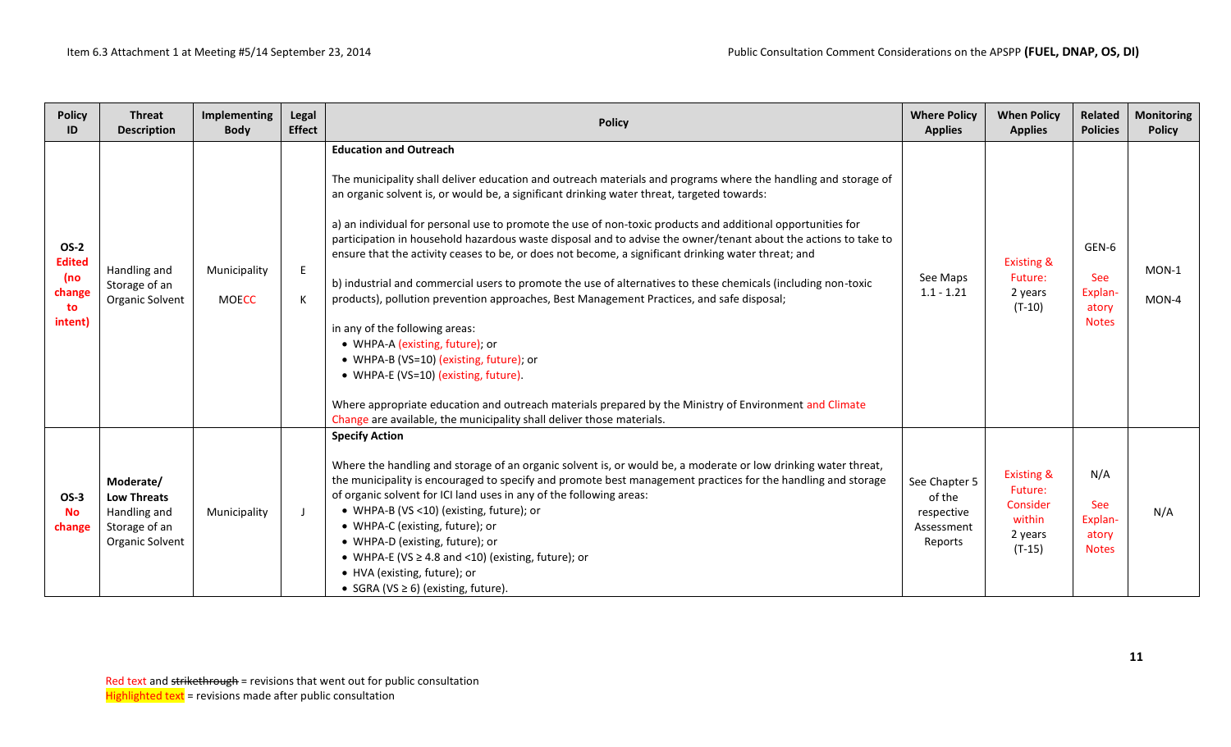| <b>Policy</b><br>ID                                            | <b>Threat</b><br><b>Description</b>                                                 | Implementing<br><b>Body</b>  | Legal<br><b>Effect</b> | <b>Policy</b>                                                                                                                                                                                                                                                                                                                                                                                                                                                                                                                                                                                                                                                                                                                                                                                                                                                                                                                                                                                                                                                                                                                                   | <b>Where Policy</b><br><b>Applies</b>                          | <b>When Policy</b><br><b>Applies</b>                                          | Related<br><b>Policies</b>                              | <b>Monitoring</b><br><b>Policy</b> |
|----------------------------------------------------------------|-------------------------------------------------------------------------------------|------------------------------|------------------------|-------------------------------------------------------------------------------------------------------------------------------------------------------------------------------------------------------------------------------------------------------------------------------------------------------------------------------------------------------------------------------------------------------------------------------------------------------------------------------------------------------------------------------------------------------------------------------------------------------------------------------------------------------------------------------------------------------------------------------------------------------------------------------------------------------------------------------------------------------------------------------------------------------------------------------------------------------------------------------------------------------------------------------------------------------------------------------------------------------------------------------------------------|----------------------------------------------------------------|-------------------------------------------------------------------------------|---------------------------------------------------------|------------------------------------|
| <b>OS-2</b><br><b>Edited</b><br>(no<br>change<br>to<br>intent) | Handling and<br>Storage of an<br>Organic Solvent                                    | Municipality<br><b>MOECC</b> | E<br>К                 | <b>Education and Outreach</b><br>The municipality shall deliver education and outreach materials and programs where the handling and storage of<br>an organic solvent is, or would be, a significant drinking water threat, targeted towards:<br>a) an individual for personal use to promote the use of non-toxic products and additional opportunities for<br>participation in household hazardous waste disposal and to advise the owner/tenant about the actions to take to<br>ensure that the activity ceases to be, or does not become, a significant drinking water threat; and<br>b) industrial and commercial users to promote the use of alternatives to these chemicals (including non-toxic<br>products), pollution prevention approaches, Best Management Practices, and safe disposal;<br>in any of the following areas:<br>• WHPA-A (existing, future); or<br>• WHPA-B (VS=10) (existing, future); or<br>• WHPA-E (VS=10) (existing, future).<br>Where appropriate education and outreach materials prepared by the Ministry of Environment and Climate<br>Change are available, the municipality shall deliver those materials. | See Maps<br>$1.1 - 1.21$                                       | <b>Existing &amp;</b><br>Future:<br>2 years<br>$(T-10)$                       | GEN-6<br><b>See</b><br>Explan-<br>atory<br><b>Notes</b> | $MON-1$<br>MON-4                   |
| $OS-3$<br><b>No</b><br>change                                  | Moderate/<br><b>Low Threats</b><br>Handling and<br>Storage of an<br>Organic Solvent | Municipality                 |                        | <b>Specify Action</b><br>Where the handling and storage of an organic solvent is, or would be, a moderate or low drinking water threat,<br>the municipality is encouraged to specify and promote best management practices for the handling and storage<br>of organic solvent for ICI land uses in any of the following areas:<br>• WHPA-B (VS <10) (existing, future); or<br>• WHPA-C (existing, future); or<br>• WHPA-D (existing, future); or<br>• WHPA-E (VS $\geq$ 4.8 and <10) (existing, future); or<br>• HVA (existing, future); or<br>• SGRA (VS $\geq$ 6) (existing, future).                                                                                                                                                                                                                                                                                                                                                                                                                                                                                                                                                         | See Chapter 5<br>of the<br>respective<br>Assessment<br>Reports | <b>Existing &amp;</b><br>Future:<br>Consider<br>within<br>2 years<br>$(T-15)$ | N/A<br>See<br>Explan-<br>atory<br><b>Notes</b>          | N/A                                |